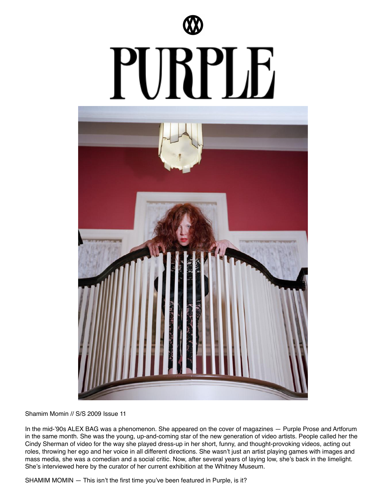



Shamim Momin // S/S 2009 Issue 11

In the mid-'90s ALEX BAG was a phenomenon. She appeared on the cover of magazines — Purple Prose and Artforum in the same month. She was the young, up-and-coming star of the new generation of video artists. People called her the Cindy Sherman of video for the way she played dress-up in her short, funny, and thought-provoking videos, acting out roles, throwing her ego and her voice in all different directions. She wasn't just an artist playing games with images and mass media, she was a comedian and a social critic. Now, after several years of laying low, she's back in the limelight. She's interviewed here by the curator of her current exhibition at the Whitney Museum.

SHAMIM MOMIN — This isn't the first time you've been featured in Purple, is it?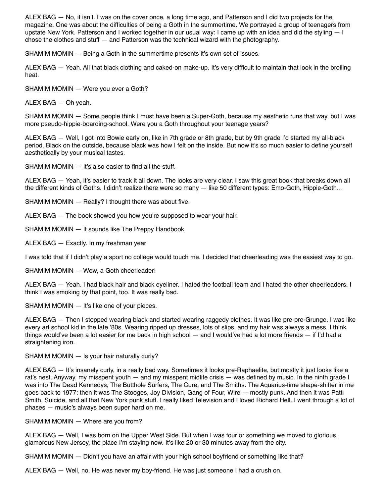ALEX BAG — No, it isn't. I was on the cover once, a long time ago, and Patterson and I did two projects for the magazine. One was about the difficulties of being a Goth in the summertime. We portrayed a group of teenagers from upstate New York. Patterson and I worked together in our usual way: I came up with an idea and did the styling — I chose the clothes and stuff — and Patterson was the technical wizard with the photography.

SHAMIM MOMIN — Being a Goth in the summertime presents it's own set of issues.

ALEX BAG — Yeah. All that black clothing and caked-on make-up. It's very difficult to maintain that look in the broiling heat.

SHAMIM MOMIN — Were you ever a Goth?

ALEX BAG — Oh yeah.

SHAMIM MOMIN — Some people think I must have been a Super-Goth, because my aesthetic runs that way, but I was more pseudo-hippie-boarding-school. Were you a Goth throughout your teenage years?

ALEX BAG — Well, I got into Bowie early on, like in 7th grade or 8th grade, but by 9th grade I'd started my all-black period. Black on the outside, because black was how I felt on the inside. But now it's so much easier to define yourself aesthetically by your musical tastes.

SHAMIM MOMIN — It's also easier to find all the stuff.

ALEX BAG — Yeah, it's easier to track it all down. The looks are very clear. I saw this great book that breaks down all the different kinds of Goths. I didn't realize there were so many — like 50 different types: Emo-Goth, Hippie-Goth…

SHAMIM MOMIN — Really? I thought there was about five.

ALEX BAG — The book showed you how you're supposed to wear your hair.

SHAMIM MOMIN — It sounds like The Preppy Handbook.

ALEX BAG — Exactly. In my freshman year

I was told that if I didn't play a sport no college would touch me. I decided that cheerleading was the easiest way to go.

SHAMIM MOMIN — Wow, a Goth cheerleader!

ALEX BAG — Yeah. I had black hair and black eyeliner. I hated the football team and I hated the other cheerleaders. I think I was smoking by that point, too. It was really bad.

SHAMIM MOMIN — It's like one of your pieces.

ALEX BAG — Then I stopped wearing black and started wearing raggedy clothes. It was like pre-pre-Grunge. I was like every art school kid in the late '80s. Wearing ripped up dresses, lots of slips, and my hair was always a mess. I think things would've been a lot easier for me back in high school — and I would've had a lot more friends — if I'd had a straightening iron.

### SHAMIM MOMIN - Is your hair naturally curly?

ALEX BAG — It's insanely curly, in a really bad way. Sometimes it looks pre-Raphaelite, but mostly it just looks like a rat's nest. Anyway, my misspent youth — and my misspent midlife crisis — was defined by music. In the ninth grade I was into The Dead Kennedys, The Butthole Surfers, The Cure, and The Smiths. The Aquarius-time shape-shifter in me goes back to 1977: then it was The Stooges, Joy Division, Gang of Four, Wire — mostly punk. And then it was Patti Smith, Suicide, and all that New York punk stuff. I really liked Television and I loved Richard Hell. I went through a lot of phases — music's always been super hard on me.

### SHAMIM MOMIN — Where are you from?

ALEX BAG — Well, I was born on the Upper West Side. But when I was four or something we moved to glorious, glamorous New Jersey, the place I'm staying now. It's like 20 or 30 minutes away from the city.

SHAMIM MOMIN — Didn't you have an affair with your high school boyfriend or something like that?

ALEX BAG — Well, no. He was never my boy-friend. He was just someone I had a crush on.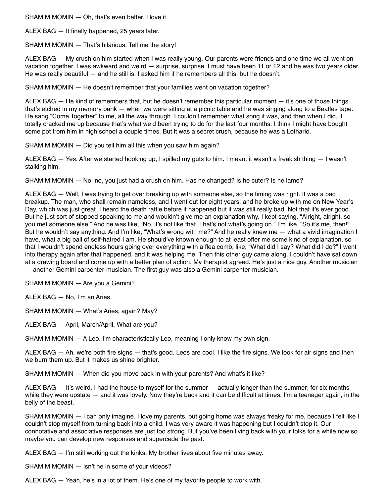SHAMIM MOMIN — Oh, that's even better. I love it.

ALEX BAG — It finally happened, 25 years later.

SHAMIM MOMIN — That's hilarious. Tell me the story!

ALEX BAG — My crush on him started when I was really young. Our parents were friends and one time we all went on vacation together. I was awkward and weird — surprise, surprise. I must have been 11 or 12 and he was two years older. He was really beautiful — and he still is. I asked him if he remembers all this, but he doesn't.

SHAMIM MOMIN — He doesn't remember that your families went on vacation together?

ALEX BAG — He kind of remembers that, but he doesn't remember this particular moment — it's one of those things that's etched in my memory bank — when we were sitting at a picnic table and he was singing along to a Beatles tape. He sang "Come Together" to me, all the way through. I couldn't remember what song it was, and then when I did, it totally cracked me up because that's what we'd been trying to do for the last four months. I think I might have bought some pot from him in high school a couple times. But it was a secret crush, because he was a Lothario.

SHAMIM MOMIN — Did you tell him all this when you saw him again?

ALEX BAG — Yes. After we started hooking up, I spilled my guts to him. I mean, it wasn't a freakish thing — I wasn't stalking him.

SHAMIM MOMIN — No, no, you just had a crush on him. Has he changed? Is he cuter? Is he lame?

ALEX BAG — Well, I was trying to get over breaking up with someone else, so the timing was right. It was a bad breakup. The man, who shall remain nameless, and I went out for eight years, and he broke up with me on New Year's Day, which was just great. I heard the death rattle before it happened but it was still really bad. Not that it's ever good. But he just sort of stopped speaking to me and wouldn't give me an explanation why. I kept saying, "Alright, alright, so you met someone else." And he was like, "No, it's not like that. That's not what's going on." I'm like, "So it's me, then!" But he wouldn't say anything. And I'm like, "What's wrong with me?" And he really knew me — what a vivid imagination I have, what a big ball of self-hatred I am. He should've known enough to at least offer me some kind of explanation, so that I wouldn't spend endless hours going over everything with a flea comb, like, "What did I say? What did I do?" I went into therapy again after that happened, and it was helping me. Then this other guy came along. I couldn't have sat down at a drawing board and come up with a better plan of action. My therapist agreed. He's just a nice guy. Another musician — another Gemini carpenter-musician. The first guy was also a Gemini carpenter-musician.

SHAMIM MOMIN — Are you a Gemini?

ALEX BAG — No, I'm an Aries.

SHAMIM MOMIN — What's Aries, again? May?

ALEX BAG — April, March/April. What are you?

SHAMIM MOMIN — A Leo. I'm characteristically Leo, meaning I only know my own sign.

ALEX BAG — Ah, we're both fire signs — that's good. Leos are cool. I like the fire signs. We look for air signs and then we burn them up. But it makes us shine brighter.

SHAMIM MOMIN — When did you move back in with your parents? And what's it like?

ALEX BAG — It's weird. I had the house to myself for the summer — actually longer than the summer; for six months while they were upstate — and it was lovely. Now they're back and it can be difficult at times. I'm a teenager again, in the belly of the beast.

SHAMIM MOMIN — I can only imagine. I love my parents, but going home was always freaky for me, because I felt like I couldn't stop myself from turning back into a child. I was very aware it was happening but I couldn't stop it. Our connotative and associative responses are just too strong. But you've been living back with your folks for a while now so maybe you can develop new responses and supercede the past.

ALEX BAG — I'm still working out the kinks. My brother lives about five minutes away.

SHAMIM MOMIN — Isn't he in some of your videos?

ALEX BAG — Yeah, he's in a lot of them. He's one of my favorite people to work with.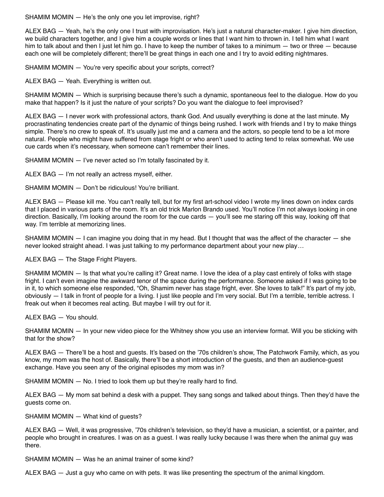SHAMIM MOMIN — He's the only one you let improvise, right?

ALEX BAG — Yeah, he's the only one I trust with improvisation. He's just a natural character-maker. I give him direction, we build characters together, and I give him a couple words or lines that I want him to thrown in. I tell him what I want him to talk about and then I just let him go. I have to keep the number of takes to a minimum — two or three — because each one will be completely different; there'll be great things in each one and I try to avoid editing nightmares.

SHAMIM MOMIN – You're very specific about your scripts, correct?

ALEX BAG — Yeah. Everything is written out.

SHAMIM MOMIN — Which is surprising because there's such a dynamic, spontaneous feel to the dialogue. How do you make that happen? Is it just the nature of your scripts? Do you want the dialogue to feel improvised?

ALEX BAG — I never work with professional actors, thank God. And usually everything is done at the last minute. My procrastinating tendencies create part of the dynamic of things being rushed. I work with friends and I try to make things simple. There's no crew to speak of. It's usually just me and a camera and the actors, so people tend to be a lot more natural. People who might have suffered from stage fright or who aren't used to acting tend to relax somewhat. We use cue cards when it's necessary, when someone can't remember their lines.

SHAMIM MOMIN — I've never acted so I'm totally fascinated by it.

ALEX BAG — I'm not really an actress myself, either.

SHAMIM MOMIN — Don't be ridiculous! You're brilliant.

ALEX BAG — Please kill me. You can't really tell, but for my first art-school video I wrote my lines down on index cards that I placed in various parts of the room. It's an old trick Marlon Brando used. You'll notice I'm not always looking in one direction. Basically, I'm looking around the room for the cue cards — you'll see me staring off this way, looking off that way. I'm terrible at memorizing lines.

SHAMIM MOMIN — I can imagine you doing that in my head. But I thought that was the affect of the character — she never looked straight ahead. I was just talking to my performance department about your new play…

ALEX BAG — The Stage Fright Players.

SHAMIM MOMIN — Is that what you're calling it? Great name. I love the idea of a play cast entirely of folks with stage fright. I can't even imagine the awkward tenor of the space during the performance. Someone asked if I was going to be in it, to which someone else responded, "Oh, Shamim never has stage fright, ever. She loves to talk!" It's part of my job, obviously — I talk in front of people for a living. I just like people and I'm very social. But I'm a terrible, terrible actress. I freak out when it becomes real acting. But maybe I will try out for it.

ALEX BAG — You should.

SHAMIM MOMIN — In your new video piece for the Whitney show you use an interview format. Will you be sticking with that for the show?

ALEX BAG — There'll be a host and guests. It's based on the '70s children's show, The Patchwork Family, which, as you know, my mom was the host of. Basically, there'll be a short introduction of the guests, and then an audience-guest exchange. Have you seen any of the original episodes my mom was in?

SHAMIM MOMIN — No. I tried to look them up but they're really hard to find.

ALEX BAG — My mom sat behind a desk with a puppet. They sang songs and talked about things. Then they'd have the guests come on.

SHAMIM MOMIN — What kind of guests?

ALEX BAG — Well, it was progressive, '70s children's television, so they'd have a musician, a scientist, or a painter, and people who brought in creatures. I was on as a guest. I was really lucky because I was there when the animal guy was there.

SHAMIM MOMIN — Was he an animal trainer of some kind?

ALEX BAG — Just a guy who came on with pets. It was like presenting the spectrum of the animal kingdom.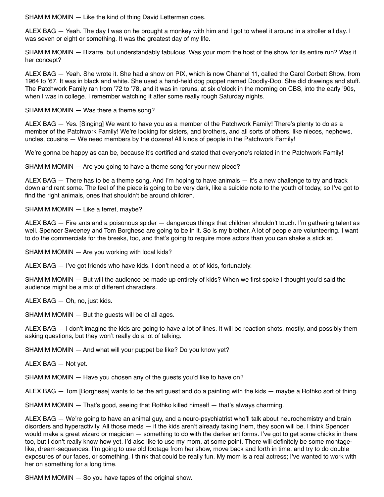SHAMIM MOMIN - Like the kind of thing David Letterman does.

ALEX BAG — Yeah. The day I was on he brought a monkey with him and I got to wheel it around in a stroller all day. I was seven or eight or something. It was the greatest day of my life.

SHAMIM MOMIN — Bizarre, but understandably fabulous. Was your mom the host of the show for its entire run? Was it her concept?

ALEX BAG — Yeah. She wrote it. She had a show on PIX, which is now Channel 11, called the Carol Corbett Show, from 1964 to '67. It was in black and white. She used a hand-held dog puppet named Doodly-Doo. She did drawings and stuff. The Patchwork Family ran from '72 to '78, and it was in reruns, at six o'clock in the morning on CBS, into the early '90s, when I was in college. I remember watching it after some really rough Saturday nights.

SHAMIM MOMIN — Was there a theme song?

ALEX BAG — Yes. [Singing] We want to have you as a member of the Patchwork Family! There's plenty to do as a member of the Patchwork Family! We're looking for sisters, and brothers, and all sorts of others, like nieces, nephews, uncles, cousins — We need members by the dozens! All kinds of people in the Patchwork Family!

We're gonna be happy as can be, because it's certified and stated that everyone's related in the Patchwork Family!

SHAMIM MOMIN — Are you going to have a theme song for your new piece?

ALEX BAG — There has to be a theme song. And I'm hoping to have animals — it's a new challenge to try and track down and rent some. The feel of the piece is going to be very dark, like a suicide note to the youth of today, so I've got to find the right animals, ones that shouldn't be around children.

SHAMIM MOMIN — Like a ferret, maybe?

ALEX BAG — Fire ants and a poisonous spider — dangerous things that children shouldn't touch. I'm gathering talent as well. Spencer Sweeney and Tom Borghese are going to be in it. So is my brother. A lot of people are volunteering. I want to do the commercials for the breaks, too, and that's going to require more actors than you can shake a stick at.

SHAMIM MOMIN — Are you working with local kids?

ALEX BAG — I've got friends who have kids. I don't need a lot of kids, fortunately.

SHAMIM MOMIN — But will the audience be made up entirely of kids? When we first spoke I thought you'd said the audience might be a mix of different characters.

ALEX BAG — Oh, no, just kids.

SHAMIM MOMIN — But the guests will be of all ages.

ALEX BAG — I don't imagine the kids are going to have a lot of lines. It will be reaction shots, mostly, and possibly them asking questions, but they won't really do a lot of talking.

SHAMIM MOMIN — And what will your puppet be like? Do you know yet?

ALEX BAG — Not yet.

SHAMIM MOMIN — Have you chosen any of the guests you'd like to have on?

ALEX BAG — Tom [Borghese] wants to be the art guest and do a painting with the kids — maybe a Rothko sort of thing.

SHAMIM MOMIN — That's good, seeing that Rothko killed himself — that's always charming.

ALEX BAG — We're going to have an animal guy, and a neuro-psychiatrist who'll talk about neurochemistry and brain disorders and hyperactivity. All those meds — if the kids aren't already taking them, they soon will be. I think Spencer would make a great wizard or magician — something to do with the darker art forms. I've got to get some chicks in there too, but I don't really know how yet. I'd also like to use my mom, at some point. There will definitely be some montagelike, dream-sequences. I'm going to use old footage from her show, move back and forth in time, and try to do double exposures of our faces, or something. I think that could be really fun. My mom is a real actress; I've wanted to work with her on something for a long time.

SHAMIM MOMIN — So you have tapes of the original show.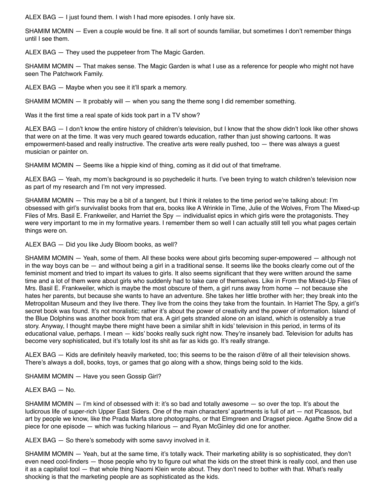ALEX BAG — I just found them. I wish I had more episodes. I only have six.

SHAMIM MOMIN — Even a couple would be fine. It all sort of sounds familiar, but sometimes I don't remember things until I see them.

ALEX BAG — They used the puppeteer from The Magic Garden.

SHAMIM MOMIN — That makes sense. The Magic Garden is what I use as a reference for people who might not have seen The Patchwork Family.

ALEX BAG — Maybe when you see it it'll spark a memory.

SHAMIM MOMIN — It probably will — when you sang the theme song I did remember something.

Was it the first time a real spate of kids took part in a TV show?

ALEX BAG — I don't know the entire history of children's television, but I know that the show didn't look like other shows that were on at the time. It was very much geared towards education, rather than just showing cartoons. It was empowerment-based and really instructive. The creative arts were really pushed, too — there was always a guest musician or painter on.

SHAMIM MOMIN — Seems like a hippie kind of thing, coming as it did out of that timeframe.

ALEX BAG — Yeah, my mom's background is so psychedelic it hurts. I've been trying to watch children's television now as part of my research and I'm not very impressed.

SHAMIM MOMIN — This may be a bit of a tangent, but I think it relates to the time period we're talking about: I'm obsessed with girl's survivalist books from that era, books like A Wrinkle in Time, Julie of the Wolves, From The Mixed-up Files of Mrs. Basil E. Frankweiler, and Harriet the Spy — individualist epics in which girls were the protagonists. They were very important to me in my formative years. I remember them so well I can actually still tell you what pages certain things were on.

ALEX BAG — Did you like Judy Bloom books, as well?

SHAMIM MOMIN — Yeah, some of them. All these books were about girls becoming super-empowered — although not in the way boys can be — and without being a girl in a traditional sense. It seems like the books clearly come out of the feminist moment and tried to impart its values to girls. It also seems significant that they were written around the same time and a lot of them were about girls who suddenly had to take care of themselves. Like in From the Mixed-Up Files of Mrs. Basil E. Frankweiler, which is maybe the most obscure of them, a girl runs away from home — not because she hates her parents, but because she wants to have an adventure. She takes her little brother with her; they break into the Metropolitan Museum and they live there. They live from the coins they take from the fountain. In Harriet The Spy, a girl's secret book was found. It's not moralistic; rather it's about the power of creativity and the power of information. Island of the Blue Dolphins was another book from that era. A girl gets stranded alone on an island, which is ostensibly a true story. Anyway, I thought maybe there might have been a similar shift in kids' television in this period, in terms of its educational value, perhaps. I mean — kids' books really suck right now. They're insanely bad. Television for adults has become very sophisticated, but it's totally lost its shit as far as kids go. It's really strange.

ALEX BAG — Kids are definitely heavily marketed, too; this seems to be the raison d'être of all their television shows. There's always a doll, books, toys, or games that go along with a show, things being sold to the kids.

SHAMIM MOMIN — Have you seen Gossip Girl?

# ALEX BAG  $-$  No.

SHAMIM MOMIN - I'm kind of obsessed with it: it's so bad and totally awesome - so over the top. It's about the ludicrous life of super-rich Upper East Siders. One of the main characters' apartments is full of art — not Picassos, but art by people we know, like the Prada Marfa store photographs, or that Elmgreen and Dragset piece. Agathe Snow did a piece for one episode — which was fucking hilarious — and Ryan McGinley did one for another.

ALEX BAG — So there's somebody with some savvy involved in it.

SHAMIM MOMIN — Yeah, but at the same time, it's totally wack. Their marketing ability is so sophisticated, they don't even need cool-finders — those people who try to figure out what the kids on the street think is really cool, and then use it as a capitalist tool — that whole thing Naomi Klein wrote about. They don't need to bother with that. What's really shocking is that the marketing people are as sophisticated as the kids.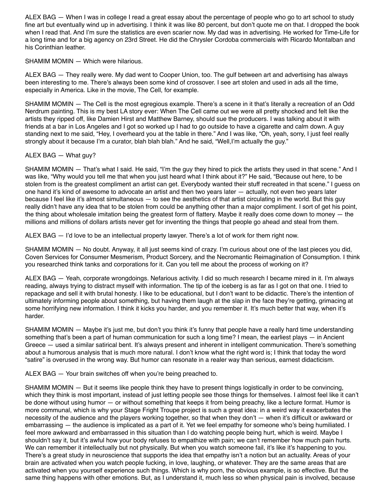ALEX BAG — When I was in college I read a great essay about the percentage of people who go to art school to study fine art but eventually wind up in advertising. I think it was like 80 percent, but don't quote me on that. I dropped the book when I read that. And I'm sure the statistics are even scarier now. My dad was in advertising. He worked for Time-Life for a long time and for a big agency on 23rd Street. He did the Chrysler Cordoba commercials with Ricardo Montalban and his Corinthian leather.

### SHAMIM MOMIN — Which were hilarious.

ALEX BAG — They really were. My dad went to Cooper Union, too. The gulf between art and advertising has always been interesting to me. There's always been some kind of crossover. I see art stolen and used in ads all the time, especially in America. Like in the movie, The Cell, for example.

SHAMIM MOMIN — The Cell is the most egregious example. There's a scene in it that's literally a recreation of an Odd Nerdrum painting. This is my best LA story ever: When The Cell came out we were all pretty shocked and felt like the artists they ripped off, like Damien Hirst and Matthew Barney, should sue the producers. I was talking about it with friends at a bar in Los Angeles and I got so worked up I had to go outside to have a cigarette and calm down. A guy standing next to me said, "Hey, I overheard you at the table in there." And I was like, "Oh, yeah, sorry, I just feel really strongly about it because I'm a curator, blah blah blah." And he said, "Well,I'm actually the guy."

## ALEX BAG — What guy?

SHAMIM MOMIN — That's what I said. He said, "I'm the guy they hired to pick the artists they used in that scene." And I was like, "Why would you tell me that when you just heard what I think about it?" He said, "Because out here, to be stolen from is the greatest compliment an artist can get. Everybody wanted their stuff recreated in that scene." I guess on one hand it's kind of awesome to advocate an artist and then two years later — actually, not even two years later because I feel like it's almost simultaneous — to see the aesthetics of that artist circulating in the world. But this guy really didn't have any idea that to be stolen from could be anything other than a major compliment. I sort of get his point, the thing about wholesale imitation being the greatest form of flattery. Maybe it really does come down to money — the millions and millions of dollars artists never get for inventing the things that people go ahead and steal from them.

ALEX BAG — I'd love to be an intellectual property lawyer. There's a lot of work for them right now.

SHAMIM MOMIN — No doubt. Anyway, it all just seems kind of crazy. I'm curious about one of the last pieces you did, Coven Services for Consumer Mesmerism, Product Sorcery, and the Necromantic Reimagination of Consumption. I think you researched think tanks and corporations for it. Can you tell me about the process of working on it?

ALEX BAG — Yeah, corporate wrongdoings. Nefarious activity. I did so much research I became mired in it. I'm always reading, always trying to distract myself with information. The tip of the iceberg is as far as I got on that one. I tried to repackage and sell it with brutal honesty. I like to be educational, but I don't want to be didactic. There's the intention of ultimately informing people about something, but having them laugh at the slap in the face they're getting, grimacing at some horrifying new information. I think it kicks you harder, and you remember it. It's much better that way, when it's harder.

SHAMIM MOMIN — Maybe it's just me, but don't you think it's funny that people have a really hard time understanding something that's been a part of human communication for such a long time? I mean, the earliest plays — in Ancient Greece — used a similar satirical bent. It's always present and inherent in intelligent communication. There's something about a humorous analysis that is much more natural. I don't know what the right word is; I think that today the word "satire" is overused in the wrong way. But humor can resonate in a realer way than serious, earnest didacticism.

ALEX BAG — Your brain switches off when you're being preached to.

SHAMIM MOMIN — But it seems like people think they have to present things logistically in order to be convincing, which they think is most important, instead of just letting people see those things for themselves. I almost feel like it can't be done without using humor — or without something that keeps it from being preachy, like a lecture format. Humor is more communal, which is why your Stage Fright Troupe project is such a great idea: in a weird way it exacerbates the necessity of the audience and the players working together, so that when they don't — when it's difficult or awkward or embarrassing — the audience is implicated as a part of it. Yet we feel empathy for someone who's being humiliated. I feel more awkward and embarrassed in this situation than I do watching people being hurt, which is weird. Maybe I shouldn't say it, but it's awful how your body refuses to empathize with pain; we can't remember how much pain hurts. We can remember it intellectually but not physically. But when you watch someone fail, it's like it's happening to you. There's a great study in neuroscience that supports the idea that empathy isn't a notion but an actuality. Areas of your brain are activated when you watch people fucking, in love, laughing, or whatever. They are the same areas that are activated when you yourself experience such things. Which is why porn, the obvious example, is so effective. But the same thing happens with other emotions. But, as I understand it, much less so when physical pain is involved, because